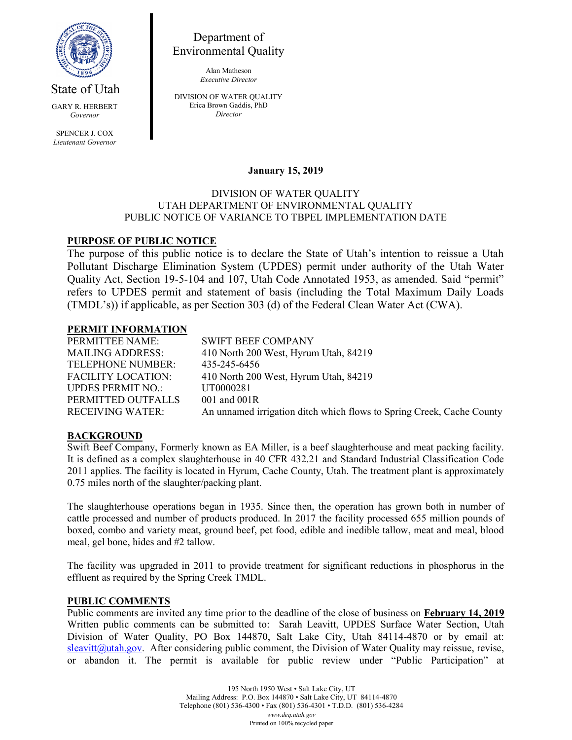

State of Utah GARY R. HERBERT Governor SPENCER J. COX Lieutenant Governor

Department of Environmental Quality

> Alan Matheson Executive Director

DIVISION OF WATER QUALITY Erica Brown Gaddis, PhD Director

## January 15, 2019

#### DIVISION OF WATER QUALITY UTAH DEPARTMENT OF ENVIRONMENTAL QUALITY PUBLIC NOTICE OF VARIANCE TO TBPEL IMPLEMENTATION DATE

# PURPOSE OF PUBLIC NOTICE

The purpose of this public notice is to declare the State of Utah's intention to reissue a Utah Pollutant Discharge Elimination System (UPDES) permit under authority of the Utah Water Quality Act, Section 19-5-104 and 107, Utah Code Annotated 1953, as amended. Said "permit" refers to UPDES permit and statement of basis (including the Total Maximum Daily Loads (TMDL's)) if applicable, as per Section 303 (d) of the Federal Clean Water Act (CWA).

### PERMIT INFORMATION

| <b>SWIFT BEEF COMPANY</b>                                             |
|-----------------------------------------------------------------------|
| 410 North 200 West, Hyrum Utah, 84219                                 |
| 435-245-6456                                                          |
| 410 North 200 West, Hyrum Utah, 84219                                 |
| UT0000281                                                             |
| $001$ and $001R$                                                      |
| An unnamed irrigation ditch which flows to Spring Creek, Cache County |
|                                                                       |

### BACKGROUND

Swift Beef Company, Formerly known as EA Miller, is a beef slaughterhouse and meat packing facility. It is defined as a complex slaughterhouse in 40 CFR 432.21 and Standard Industrial Classification Code 2011 applies. The facility is located in Hyrum, Cache County, Utah. The treatment plant is approximately 0.75 miles north of the slaughter/packing plant.

The slaughterhouse operations began in 1935. Since then, the operation has grown both in number of cattle processed and number of products produced. In 2017 the facility processed 655 million pounds of boxed, combo and variety meat, ground beef, pet food, edible and inedible tallow, meat and meal, blood meal, gel bone, hides and #2 tallow.

The facility was upgraded in 2011 to provide treatment for significant reductions in phosphorus in the effluent as required by the Spring Creek TMDL.

### PUBLIC COMMENTS

Public comments are invited any time prior to the deadline of the close of business on February 14, 2019 Written public comments can be submitted to: Sarah Leavitt, UPDES Surface Water Section, Utah Division of Water Quality, PO Box 144870, Salt Lake City, Utah 84114-4870 or by email at: sleavitt@utah.gov. After considering public comment, the Division of Water Quality may reissue, revise, or abandon it. The permit is available for public review under "Public Participation" at